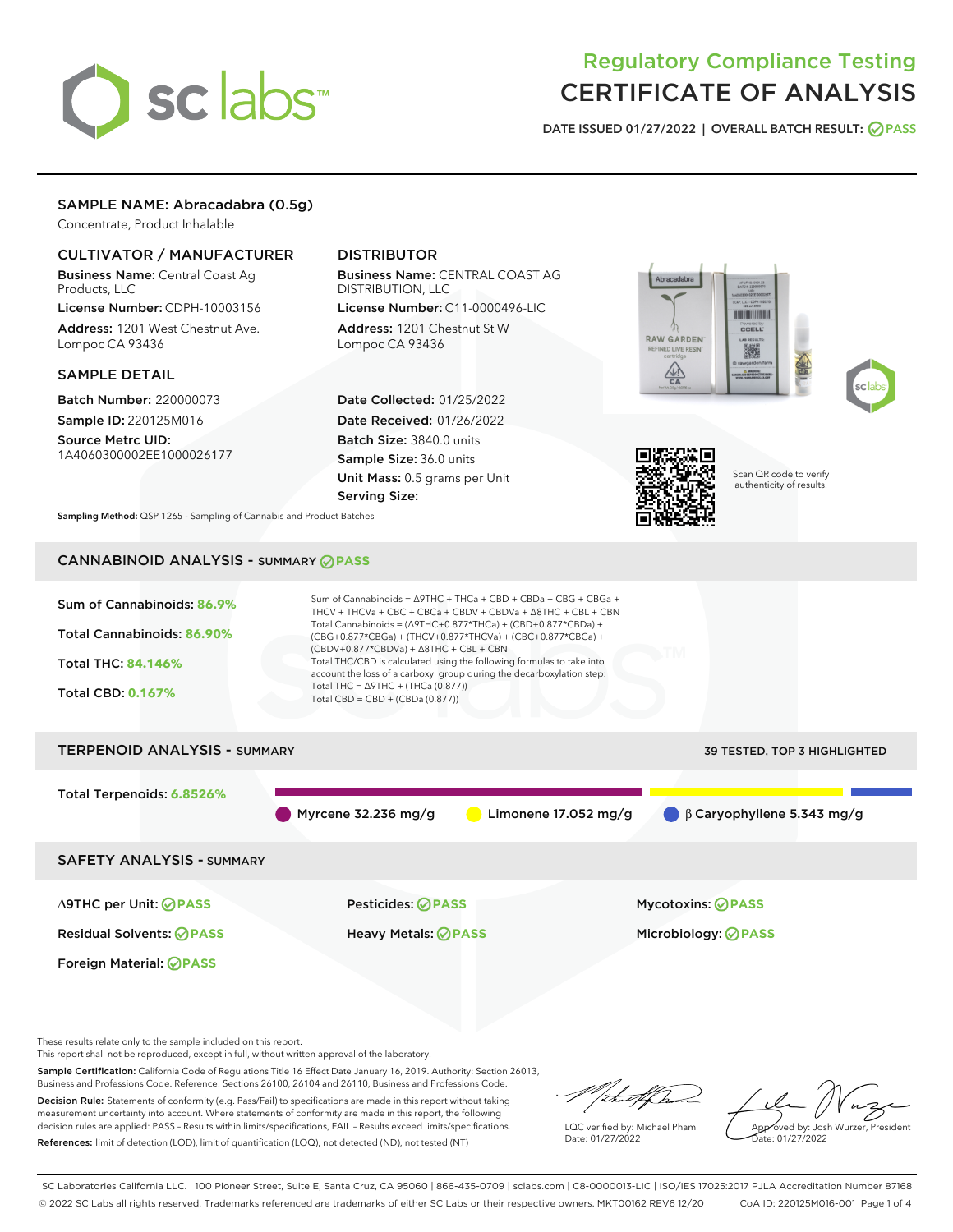# sclabs<sup>\*</sup>

# Regulatory Compliance Testing CERTIFICATE OF ANALYSIS

DATE ISSUED 01/27/2022 | OVERALL BATCH RESULT: @ PASS

# SAMPLE NAME: Abracadabra (0.5g)

Concentrate, Product Inhalable

# CULTIVATOR / MANUFACTURER

Business Name: Central Coast Ag Products, LLC

License Number: CDPH-10003156 Address: 1201 West Chestnut Ave. Lompoc CA 93436

#### SAMPLE DETAIL

Batch Number: 220000073 Sample ID: 220125M016

Source Metrc UID: 1A4060300002EE1000026177

# DISTRIBUTOR

Business Name: CENTRAL COAST AG DISTRIBUTION, LLC License Number: C11-0000496-LIC

Address: 1201 Chestnut St W Lompoc CA 93436

Date Collected: 01/25/2022 Date Received: 01/26/2022 Batch Size: 3840.0 units Sample Size: 36.0 units Unit Mass: 0.5 grams per Unit Serving Size:







Scan QR code to verify authenticity of results.

Sampling Method: QSP 1265 - Sampling of Cannabis and Product Batches

# CANNABINOID ANALYSIS - SUMMARY **PASS**



This report shall not be reproduced, except in full, without written approval of the laboratory.

Sample Certification: California Code of Regulations Title 16 Effect Date January 16, 2019. Authority: Section 26013, Business and Professions Code. Reference: Sections 26100, 26104 and 26110, Business and Professions Code. Decision Rule: Statements of conformity (e.g. Pass/Fail) to specifications are made in this report without taking

measurement uncertainty into account. Where statements of conformity are made in this report, the following decision rules are applied: PASS – Results within limits/specifications, FAIL – Results exceed limits/specifications. References: limit of detection (LOD), limit of quantification (LOQ), not detected (ND), not tested (NT)

that fCha

LQC verified by: Michael Pham Date: 01/27/2022

Approved by: Josh Wurzer, President ate: 01/27/2022

SC Laboratories California LLC. | 100 Pioneer Street, Suite E, Santa Cruz, CA 95060 | 866-435-0709 | sclabs.com | C8-0000013-LIC | ISO/IES 17025:2017 PJLA Accreditation Number 87168 © 2022 SC Labs all rights reserved. Trademarks referenced are trademarks of either SC Labs or their respective owners. MKT00162 REV6 12/20 CoA ID: 220125M016-001 Page 1 of 4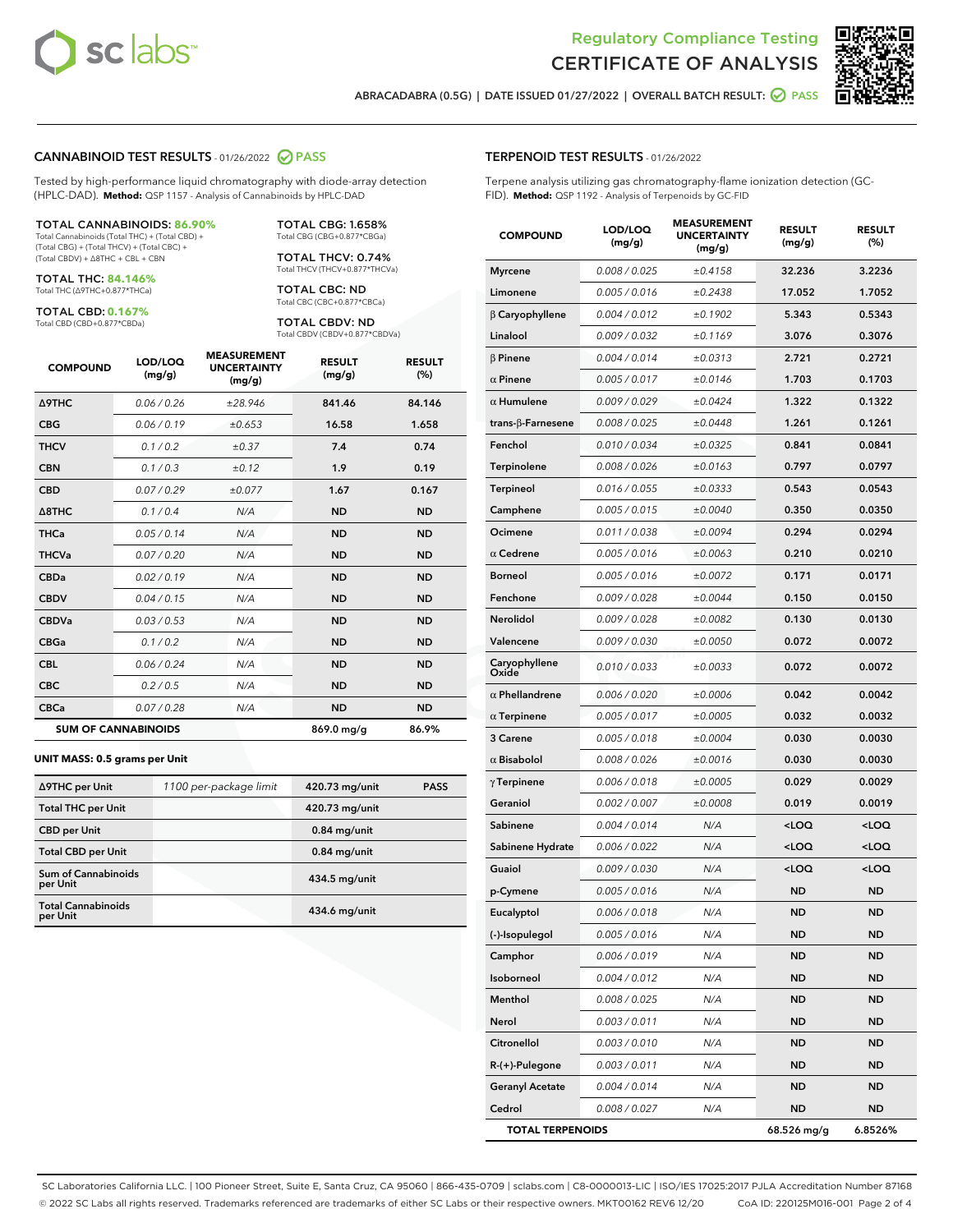



ABRACADABRA (0.5G) | DATE ISSUED 01/27/2022 | OVERALL BATCH RESULT: **○** PASS

#### CANNABINOID TEST RESULTS - 01/26/2022 2 PASS

Tested by high-performance liquid chromatography with diode-array detection (HPLC-DAD). **Method:** QSP 1157 - Analysis of Cannabinoids by HPLC-DAD

#### TOTAL CANNABINOIDS: **86.90%**

Total Cannabinoids (Total THC) + (Total CBD) + (Total CBG) + (Total THCV) + (Total CBC) + (Total CBDV) + ∆8THC + CBL + CBN

TOTAL THC: **84.146%** Total THC (∆9THC+0.877\*THCa)

TOTAL CBD: **0.167%**

Total CBD (CBD+0.877\*CBDa)

TOTAL CBG: 1.658% Total CBG (CBG+0.877\*CBGa)

TOTAL THCV: 0.74% Total THCV (THCV+0.877\*THCVa)

TOTAL CBC: ND Total CBC (CBC+0.877\*CBCa)

TOTAL CBDV: ND Total CBDV (CBDV+0.877\*CBDVa)

| <b>COMPOUND</b>            | LOD/LOQ<br>(mg/g) | <b>MEASUREMENT</b><br><b>UNCERTAINTY</b><br>(mg/g) | <b>RESULT</b><br>(mg/g) | <b>RESULT</b><br>(%) |
|----------------------------|-------------------|----------------------------------------------------|-------------------------|----------------------|
| <b>A9THC</b>               | 0.06/0.26         | ±28.946                                            | 841.46                  | 84.146               |
| <b>CBG</b>                 | 0.06/0.19         | ±0.653                                             | 16.58                   | 1.658                |
| <b>THCV</b>                | 0.1/0.2           | $\pm 0.37$                                         | 7.4                     | 0.74                 |
| <b>CBN</b>                 | 0.1/0.3           | ±0.12                                              | 1.9                     | 0.19                 |
| <b>CBD</b>                 | 0.07/0.29         | ±0.077                                             | 1.67                    | 0.167                |
| $\triangle$ 8THC           | 0.1 / 0.4         | N/A                                                | <b>ND</b>               | <b>ND</b>            |
| <b>THCa</b>                | 0.05/0.14         | N/A                                                | <b>ND</b>               | <b>ND</b>            |
| <b>THCVa</b>               | 0.07/0.20         | N/A                                                | <b>ND</b>               | <b>ND</b>            |
| <b>CBDa</b>                | 0.02/0.19         | N/A                                                | <b>ND</b>               | <b>ND</b>            |
| <b>CBDV</b>                | 0.04 / 0.15       | N/A                                                | <b>ND</b>               | <b>ND</b>            |
| <b>CBDVa</b>               | 0.03 / 0.53       | N/A                                                | <b>ND</b>               | <b>ND</b>            |
| <b>CBGa</b>                | 0.1/0.2           | N/A                                                | <b>ND</b>               | <b>ND</b>            |
| <b>CBL</b>                 | 0.06 / 0.24       | N/A                                                | <b>ND</b>               | <b>ND</b>            |
| <b>CBC</b>                 | 0.2 / 0.5         | N/A                                                | <b>ND</b>               | <b>ND</b>            |
| <b>CBCa</b>                | 0.07/0.28         | N/A                                                | <b>ND</b>               | <b>ND</b>            |
| <b>SUM OF CANNABINOIDS</b> |                   |                                                    | 869.0 mg/g              | 86.9%                |

#### **UNIT MASS: 0.5 grams per Unit**

| ∆9THC per Unit                        | 1100 per-package limit | 420.73 mg/unit  | <b>PASS</b> |
|---------------------------------------|------------------------|-----------------|-------------|
| <b>Total THC per Unit</b>             |                        | 420.73 mg/unit  |             |
| <b>CBD per Unit</b>                   |                        | $0.84$ mg/unit  |             |
| <b>Total CBD per Unit</b>             |                        | $0.84$ mg/unit  |             |
| Sum of Cannabinoids<br>per Unit       |                        | $434.5$ mg/unit |             |
| <b>Total Cannabinoids</b><br>per Unit |                        | $434.6$ mg/unit |             |

| <b>COMPOUND</b>           | LOD/LOQ<br>(mg/g)    | <b>MEASUREMENT</b><br><b>UNCERTAINTY</b><br>(mg/g) | <b>RESULT</b><br>(mg/g)                         | <b>RESULT</b><br>(%) |
|---------------------------|----------------------|----------------------------------------------------|-------------------------------------------------|----------------------|
| <b>Myrcene</b>            | 0.008 / 0.025        | ±0.4158                                            | 32.236                                          | 3.2236               |
| Limonene                  | 0.005 / 0.016        | ±0.2438                                            | 17.052                                          | 1.7052               |
| $\beta$ Caryophyllene     | 0.004 / 0.012        | ±0.1902                                            | 5.343                                           | 0.5343               |
| Linalool                  | 0.009 / 0.032        | ±0.1169                                            | 3.076                                           | 0.3076               |
| $\beta$ Pinene            | 0.004 / 0.014        | ±0.0313                                            | 2.721                                           | 0.2721               |
| $\alpha$ Pinene           | 0.005 / 0.017        | ±0.0146                                            | 1.703                                           | 0.1703               |
| $\alpha$ Humulene         | 0.009 / 0.029        | ±0.0424                                            | 1.322                                           | 0.1322               |
| trans- $\beta$ -Farnesene | 0.008 / 0.025        | ±0.0448                                            | 1.261                                           | 0.1261               |
| Fenchol                   | 0.010/0.034          | ±0.0325                                            | 0.841                                           | 0.0841               |
| Terpinolene               | 0.008 / 0.026        | ±0.0163                                            | 0.797                                           | 0.0797               |
| <b>Terpineol</b>          | 0.016 / 0.055        | ±0.0333                                            | 0.543                                           | 0.0543               |
| Camphene                  | 0.005 / 0.015        | ±0.0040                                            | 0.350                                           | 0.0350               |
| Ocimene                   | 0.011 / 0.038        | ±0.0094                                            | 0.294                                           | 0.0294               |
| $\alpha$ Cedrene          | 0.005 / 0.016        | ±0.0063                                            | 0.210                                           | 0.0210               |
| <b>Borneol</b>            | 0.005 / 0.016        | ±0.0072                                            | 0.171                                           | 0.0171               |
| Fenchone                  | 0.009 / 0.028        | ±0.0044                                            | 0.150                                           | 0.0150               |
| Nerolidol                 | 0.009 / 0.028        | ±0.0082                                            | 0.130                                           | 0.0130               |
| Valencene                 | <i>0.009 / 0.030</i> | ±0.0050                                            | 0.072                                           | 0.0072               |
| Caryophyllene<br>Oxide    | 0.010 / 0.033        | ±0.0033                                            | 0.072                                           | 0.0072               |
| $\alpha$ Phellandrene     | 0.006 / 0.020        | ±0.0006                                            | 0.042                                           | 0.0042               |
| $\alpha$ Terpinene        | 0.005 / 0.017        | ±0.0005                                            | 0.032                                           | 0.0032               |
| 3 Carene                  | 0.005 / 0.018        | ±0.0004                                            | 0.030                                           | 0.0030               |
| $\alpha$ Bisabolol        | 0.008 / 0.026        | ±0.0016                                            | 0.030                                           | 0.0030               |
| $\gamma$ Terpinene        | 0.006 / 0.018        | ±0.0005                                            | 0.029                                           | 0.0029               |
| Geraniol                  | 0.002 / 0.007        | ±0.0008                                            | 0.019                                           | 0.0019               |
| Sabinene                  | 0.004 / 0.014        | N/A                                                | <loq< th=""><th><loq< th=""></loq<></th></loq<> | <loq< th=""></loq<>  |
| Sabinene Hydrate          | 0.006 / 0.022        | N/A                                                | <loq< th=""><th><loq< th=""></loq<></th></loq<> | <loq< th=""></loq<>  |
| Guaiol                    | 0.009 / 0.030        | N/A                                                | <loq< th=""><th><loq< th=""></loq<></th></loq<> | <loq< th=""></loq<>  |
| p-Cymene                  | 0.005 / 0.016        | N/A                                                | <b>ND</b>                                       | ND                   |
| Eucalyptol                | 0.006 / 0.018        | N/A                                                | <b>ND</b>                                       | ND                   |
| (-)-Isopulegol            | 0.005 / 0.016        | N/A                                                | ND                                              | ND                   |
| Camphor                   | 0.006 / 0.019        | N/A                                                | ND                                              | ND                   |
| Isoborneol                | 0.004 / 0.012        | N/A                                                | ND                                              | ND                   |
| Menthol                   | 0.008 / 0.025        | N/A                                                | ND                                              | ND                   |
| Nerol                     | 0.003 / 0.011        | N/A                                                | ND                                              | ND                   |
| Citronellol               | 0.003 / 0.010        | N/A                                                | ND                                              | ND                   |
| $R-(+)$ -Pulegone         | 0.003 / 0.011        | N/A                                                | ND                                              | ND                   |
| <b>Geranyl Acetate</b>    | 0.004 / 0.014        | N/A                                                | ND                                              | ND                   |
| Cedrol                    | 0.008 / 0.027        | N/A                                                | ND                                              | ND                   |
| <b>TOTAL TERPENOIDS</b>   |                      |                                                    | 68.526 mg/g                                     | 6.8526%              |

SC Laboratories California LLC. | 100 Pioneer Street, Suite E, Santa Cruz, CA 95060 | 866-435-0709 | sclabs.com | C8-0000013-LIC | ISO/IES 17025:2017 PJLA Accreditation Number 87168 © 2022 SC Labs all rights reserved. Trademarks referenced are trademarks of either SC Labs or their respective owners. MKT00162 REV6 12/20 CoA ID: 220125M016-001 Page 2 of 4

# TERPENOID TEST RESULTS - 01/26/2022

Terpene analysis utilizing gas chromatography-flame ionization detection (GC-FID). **Method:** QSP 1192 - Analysis of Terpenoids by GC-FID

MEASUREMENT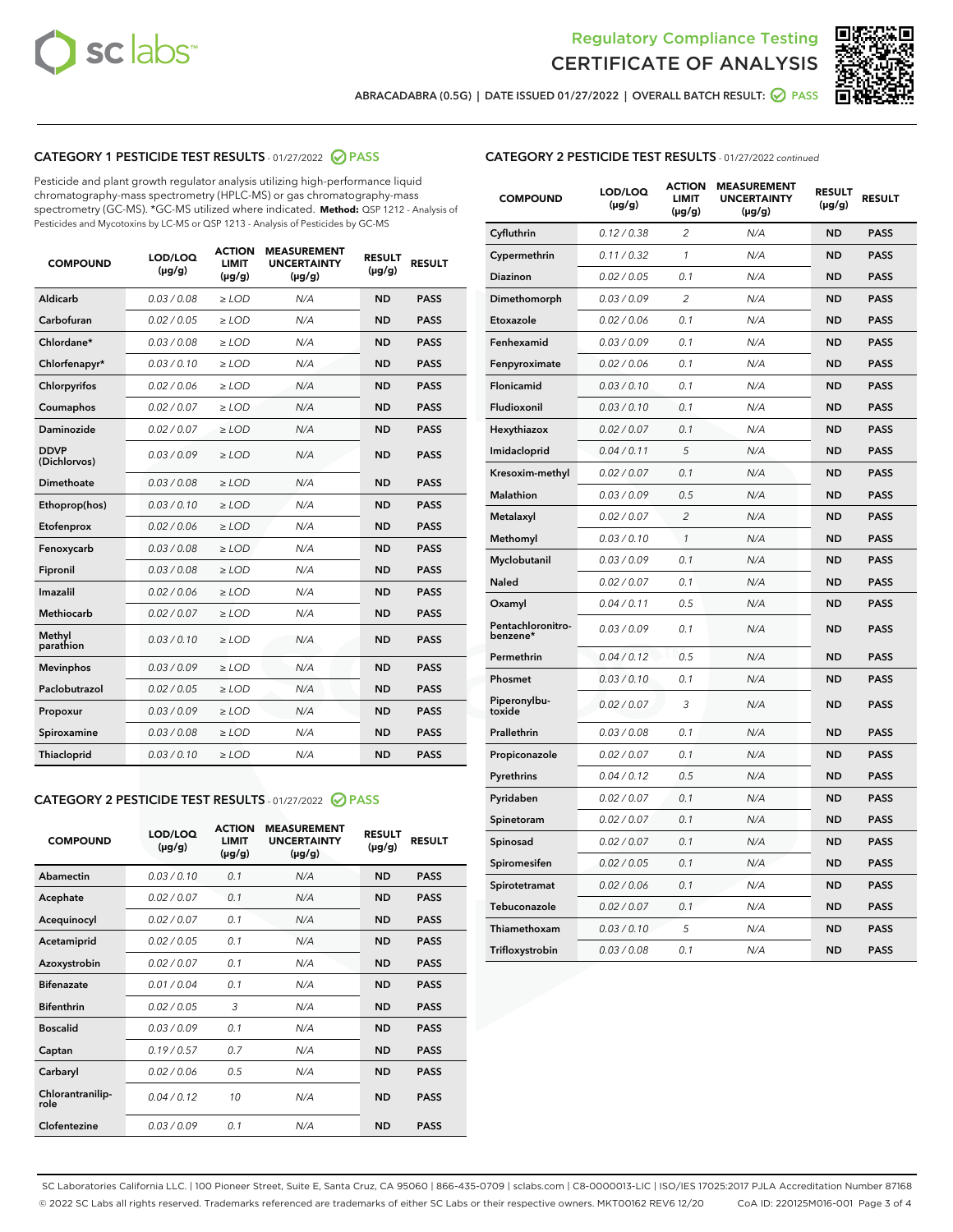



ABRACADABRA (0.5G) | DATE ISSUED 01/27/2022 | OVERALL BATCH RESULT:  $\bigcirc$  PASS

## CATEGORY 1 PESTICIDE TEST RESULTS - 01/27/2022 2 PASS

Pesticide and plant growth regulator analysis utilizing high-performance liquid chromatography-mass spectrometry (HPLC-MS) or gas chromatography-mass spectrometry (GC-MS). \*GC-MS utilized where indicated. **Method:** QSP 1212 - Analysis of Pesticides and Mycotoxins by LC-MS or QSP 1213 - Analysis of Pesticides by GC-MS

| <b>COMPOUND</b>             | LOD/LOQ<br>$(\mu g/g)$ | <b>ACTION</b><br><b>LIMIT</b><br>$(\mu g/g)$ | <b>MEASUREMENT</b><br><b>UNCERTAINTY</b><br>$(\mu g/g)$ | <b>RESULT</b><br>$(\mu g/g)$ | <b>RESULT</b> |
|-----------------------------|------------------------|----------------------------------------------|---------------------------------------------------------|------------------------------|---------------|
| Aldicarb                    | 0.03 / 0.08            | $\ge$ LOD                                    | N/A                                                     | <b>ND</b>                    | <b>PASS</b>   |
| Carbofuran                  | 0.02/0.05              | $>$ LOD                                      | N/A                                                     | <b>ND</b>                    | <b>PASS</b>   |
| Chlordane*                  | 0.03 / 0.08            | $\ge$ LOD                                    | N/A                                                     | <b>ND</b>                    | <b>PASS</b>   |
| Chlorfenapyr*               | 0.03/0.10              | $>$ LOD                                      | N/A                                                     | <b>ND</b>                    | <b>PASS</b>   |
| Chlorpyrifos                | 0.02 / 0.06            | $\ge$ LOD                                    | N/A                                                     | <b>ND</b>                    | <b>PASS</b>   |
| Coumaphos                   | 0.02 / 0.07            | $\ge$ LOD                                    | N/A                                                     | <b>ND</b>                    | <b>PASS</b>   |
| Daminozide                  | 0.02 / 0.07            | $\ge$ LOD                                    | N/A                                                     | <b>ND</b>                    | <b>PASS</b>   |
| <b>DDVP</b><br>(Dichlorvos) | 0.03/0.09              | $\ge$ LOD                                    | N/A                                                     | <b>ND</b>                    | <b>PASS</b>   |
| Dimethoate                  | 0.03/0.08              | $>$ LOD                                      | N/A                                                     | <b>ND</b>                    | <b>PASS</b>   |
| Ethoprop(hos)               | 0.03/0.10              | $\ge$ LOD                                    | N/A                                                     | <b>ND</b>                    | <b>PASS</b>   |
| Etofenprox                  | 0.02 / 0.06            | $\ge$ LOD                                    | N/A                                                     | <b>ND</b>                    | <b>PASS</b>   |
| Fenoxycarb                  | 0.03 / 0.08            | $\ge$ LOD                                    | N/A                                                     | <b>ND</b>                    | <b>PASS</b>   |
| Fipronil                    | 0.03/0.08              | $>$ LOD                                      | N/A                                                     | <b>ND</b>                    | <b>PASS</b>   |
| Imazalil                    | 0.02 / 0.06            | $\ge$ LOD                                    | N/A                                                     | <b>ND</b>                    | <b>PASS</b>   |
| Methiocarb                  | 0.02 / 0.07            | $\ge$ LOD                                    | N/A                                                     | <b>ND</b>                    | <b>PASS</b>   |
| Methyl<br>parathion         | 0.03/0.10              | $\ge$ LOD                                    | N/A                                                     | <b>ND</b>                    | <b>PASS</b>   |
| <b>Mevinphos</b>            | 0.03/0.09              | $>$ LOD                                      | N/A                                                     | <b>ND</b>                    | <b>PASS</b>   |
| Paclobutrazol               | 0.02 / 0.05            | $\ge$ LOD                                    | N/A                                                     | <b>ND</b>                    | <b>PASS</b>   |
| Propoxur                    | 0.03/0.09              | $\ge$ LOD                                    | N/A                                                     | <b>ND</b>                    | <b>PASS</b>   |
| Spiroxamine                 | 0.03/0.08              | $\ge$ LOD                                    | N/A                                                     | <b>ND</b>                    | <b>PASS</b>   |
| Thiacloprid                 | 0.03/0.10              | $\ge$ LOD                                    | N/A                                                     | <b>ND</b>                    | <b>PASS</b>   |

#### CATEGORY 2 PESTICIDE TEST RESULTS - 01/27/2022 2 PASS

| <b>COMPOUND</b>          | LOD/LOO<br>$(\mu g/g)$ | <b>ACTION</b><br>LIMIT<br>$(\mu g/g)$ | <b>MEASUREMENT</b><br><b>UNCERTAINTY</b><br>$(\mu g/g)$ | <b>RESULT</b><br>$(\mu g/g)$ | <b>RESULT</b> |  |
|--------------------------|------------------------|---------------------------------------|---------------------------------------------------------|------------------------------|---------------|--|
| Abamectin                | 0.03/0.10              | 0.1                                   | N/A                                                     | <b>ND</b>                    | <b>PASS</b>   |  |
| Acephate                 | 0.02/0.07              | 0.1                                   | N/A                                                     | <b>ND</b>                    | <b>PASS</b>   |  |
| Acequinocyl              | 0.02/0.07              | 0.1                                   | N/A                                                     | <b>ND</b>                    | <b>PASS</b>   |  |
| Acetamiprid              | 0.02 / 0.05            | 0.1                                   | N/A                                                     | <b>ND</b>                    | <b>PASS</b>   |  |
| Azoxystrobin             | 0.02/0.07              | 0.1                                   | N/A                                                     | <b>ND</b>                    | <b>PASS</b>   |  |
| <b>Bifenazate</b>        | 0.01 / 0.04            | 0.1                                   | N/A                                                     | <b>ND</b>                    | <b>PASS</b>   |  |
| <b>Bifenthrin</b>        | 0.02 / 0.05            | 3                                     | N/A                                                     | <b>ND</b>                    | <b>PASS</b>   |  |
| <b>Boscalid</b>          | 0.03/0.09              | 0.1                                   | N/A                                                     | <b>ND</b>                    | <b>PASS</b>   |  |
| Captan                   | 0.19/0.57              | 0.7                                   | N/A                                                     | <b>ND</b>                    | <b>PASS</b>   |  |
| Carbaryl                 | 0.02/0.06              | 0.5                                   | N/A                                                     | <b>ND</b>                    | <b>PASS</b>   |  |
| Chlorantranilip-<br>role | 0.04/0.12              | 10                                    | N/A                                                     | <b>ND</b>                    | <b>PASS</b>   |  |
| Clofentezine             | 0.03/0.09              | 0.1                                   | N/A                                                     | <b>ND</b>                    | <b>PASS</b>   |  |

| <b>CATEGORY 2 PESTICIDE TEST RESULTS</b> - 01/27/2022 continued |
|-----------------------------------------------------------------|
|-----------------------------------------------------------------|

| <b>COMPOUND</b>               | LOD/LOQ<br>(µg/g) | <b>ACTION</b><br><b>LIMIT</b><br>$(\mu g/g)$ | <b>MEASUREMENT</b><br><b>UNCERTAINTY</b><br>$(\mu g/g)$ | <b>RESULT</b><br>(µg/g) | <b>RESULT</b> |
|-------------------------------|-------------------|----------------------------------------------|---------------------------------------------------------|-------------------------|---------------|
| Cyfluthrin                    | 0.12 / 0.38       | $\overline{c}$                               | N/A                                                     | <b>ND</b>               | <b>PASS</b>   |
| Cypermethrin                  | 0.11 / 0.32       | 1                                            | N/A                                                     | ND                      | <b>PASS</b>   |
| <b>Diazinon</b>               | 0.02 / 0.05       | 0.1                                          | N/A                                                     | ND                      | <b>PASS</b>   |
| Dimethomorph                  | 0.03 / 0.09       | $\overline{2}$                               | N/A                                                     | ND                      | <b>PASS</b>   |
| Etoxazole                     | 0.02 / 0.06       | 0.1                                          | N/A                                                     | ND                      | <b>PASS</b>   |
| Fenhexamid                    | 0.03 / 0.09       | 0.1                                          | N/A                                                     | ND                      | <b>PASS</b>   |
| Fenpyroximate                 | 0.02 / 0.06       | 0.1                                          | N/A                                                     | <b>ND</b>               | <b>PASS</b>   |
| Flonicamid                    | 0.03 / 0.10       | 0.1                                          | N/A                                                     | <b>ND</b>               | <b>PASS</b>   |
| Fludioxonil                   | 0.03 / 0.10       | 0.1                                          | N/A                                                     | <b>ND</b>               | <b>PASS</b>   |
| Hexythiazox                   | 0.02 / 0.07       | 0.1                                          | N/A                                                     | <b>ND</b>               | <b>PASS</b>   |
| Imidacloprid                  | 0.04 / 0.11       | 5                                            | N/A                                                     | <b>ND</b>               | <b>PASS</b>   |
| Kresoxim-methyl               | 0.02 / 0.07       | 0.1                                          | N/A                                                     | ND                      | <b>PASS</b>   |
| <b>Malathion</b>              | 0.03 / 0.09       | 0.5                                          | N/A                                                     | ND                      | <b>PASS</b>   |
| Metalaxyl                     | 0.02 / 0.07       | $\overline{2}$                               | N/A                                                     | <b>ND</b>               | <b>PASS</b>   |
| Methomyl                      | 0.03 / 0.10       | $\mathbf{1}$                                 | N/A                                                     | <b>ND</b>               | <b>PASS</b>   |
| Myclobutanil                  | 0.03 / 0.09       | 0.1                                          | N/A                                                     | ND                      | PASS          |
| <b>Naled</b>                  | 0.02 / 0.07       | 0.1                                          | N/A                                                     | <b>ND</b>               | <b>PASS</b>   |
| Oxamyl                        | 0.04 / 0.11       | 0.5                                          | N/A                                                     | <b>ND</b>               | <b>PASS</b>   |
| Pentachloronitro-<br>benzene* | 0.03 / 0.09       | 0.1                                          | N/A                                                     | <b>ND</b>               | <b>PASS</b>   |
| Permethrin                    | 0.04 / 0.12       | 0.5                                          | N/A                                                     | ND                      | <b>PASS</b>   |
| Phosmet                       | 0.03 / 0.10       | 0.1                                          | N/A                                                     | <b>ND</b>               | <b>PASS</b>   |
| Piperonylbu-<br>toxide        | 0.02 / 0.07       | 3                                            | N/A                                                     | ND                      | <b>PASS</b>   |
| Prallethrin                   | 0.03 / 0.08       | 0.1                                          | N/A                                                     | ND                      | <b>PASS</b>   |
| Propiconazole                 | 0.02 / 0.07       | 0.1                                          | N/A                                                     | ND                      | PASS          |
| Pyrethrins                    | 0.04 / 0.12       | 0.5                                          | N/A                                                     | ND                      | <b>PASS</b>   |
| Pyridaben                     | 0.02 / 0.07       | 0.1                                          | N/A                                                     | <b>ND</b>               | <b>PASS</b>   |
| Spinetoram                    | 0.02 / 0.07       | 0.1                                          | N/A                                                     | ND                      | <b>PASS</b>   |
| Spinosad                      | 0.02 / 0.07       | 0.1                                          | N/A                                                     | ND                      | PASS          |
| Spiromesifen                  | 0.02 / 0.05       | 0.1                                          | N/A                                                     | ND                      | <b>PASS</b>   |
| Spirotetramat                 | 0.02 / 0.06       | 0.1                                          | N/A                                                     | ND                      | <b>PASS</b>   |
| Tebuconazole                  | 0.02 / 0.07       | 0.1                                          | N/A                                                     | ND                      | <b>PASS</b>   |
| Thiamethoxam                  | 0.03 / 0.10       | 5                                            | N/A                                                     | ND                      | <b>PASS</b>   |
| Trifloxystrobin               | 0.03 / 0.08       | 0.1                                          | N/A                                                     | <b>ND</b>               | <b>PASS</b>   |

SC Laboratories California LLC. | 100 Pioneer Street, Suite E, Santa Cruz, CA 95060 | 866-435-0709 | sclabs.com | C8-0000013-LIC | ISO/IES 17025:2017 PJLA Accreditation Number 87168 © 2022 SC Labs all rights reserved. Trademarks referenced are trademarks of either SC Labs or their respective owners. MKT00162 REV6 12/20 CoA ID: 220125M016-001 Page 3 of 4